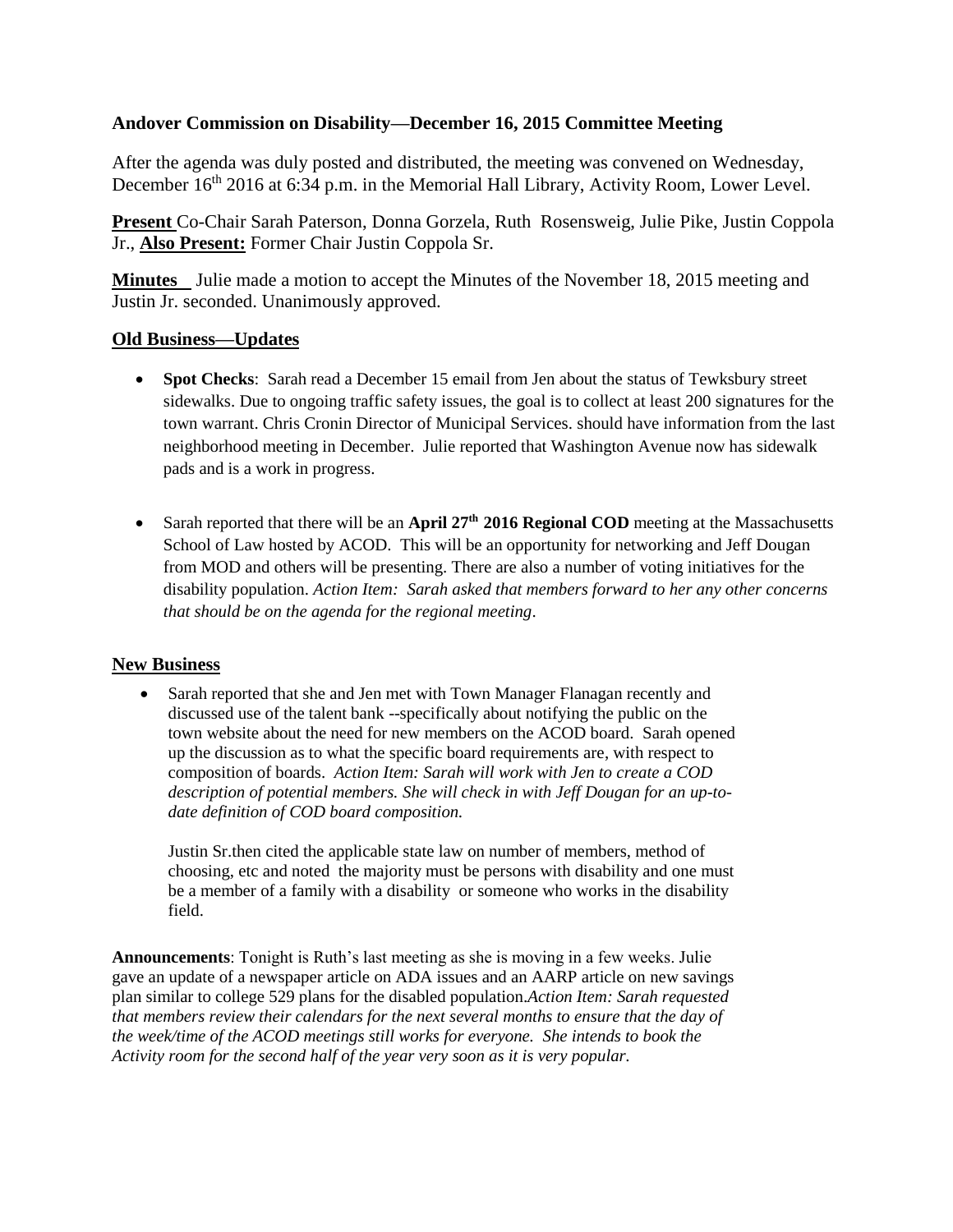## **Andover Commission on Disability—December 16, 2015 Committee Meeting**

After the agenda was duly posted and distributed, the meeting was convened on Wednesday, December 16<sup>th</sup> 2016 at 6:34 p.m. in the Memorial Hall Library, Activity Room, Lower Level.

**Present** Co-Chair Sarah Paterson, Donna Gorzela, Ruth Rosensweig, Julie Pike, Justin Coppola Jr., **Also Present:** Former Chair Justin Coppola Sr.

**Minutes** Julie made a motion to accept the Minutes of the November 18, 2015 meeting and Justin Jr. seconded. Unanimously approved.

## **Old Business—Updates**

- **Spot Checks**: Sarah read a December 15 email from Jen about the status of Tewksbury street sidewalks. Due to ongoing traffic safety issues, the goal is to collect at least 200 signatures for the town warrant. Chris Cronin Director of Municipal Services. should have information from the last neighborhood meeting in December. Julie reported that Washington Avenue now has sidewalk pads and is a work in progress.
- Sarah reported that there will be an **April 27th 2016 Regional COD** meeting at the Massachusetts School of Law hosted by ACOD. This will be an opportunity for networking and Jeff Dougan from MOD and others will be presenting. There are also a number of voting initiatives for the disability population. *Action Item: Sarah asked that members forward to her any other concerns that should be on the agenda for the regional meeting*.

## **New Business**

• Sarah reported that she and Jen met with Town Manager Flanagan recently and discussed use of the talent bank --specifically about notifying the public on the town website about the need for new members on the ACOD board. Sarah opened up the discussion as to what the specific board requirements are, with respect to composition of boards. *Action Item: Sarah will work with Jen to create a COD description of potential members. She will check in with Jeff Dougan for an up-todate definition of COD board composition.*

Justin Sr.then cited the applicable state law on number of members, method of choosing, etc and noted the majority must be persons with disability and one must be a member of a family with a disability or someone who works in the disability field.

**Announcements**: Tonight is Ruth's last meeting as she is moving in a few weeks. Julie gave an update of a newspaper article on ADA issues and an AARP article on new savings plan similar to college 529 plans for the disabled population.*Action Item: Sarah requested that members review their calendars for the next several months to ensure that the day of the week/time of the ACOD meetings still works for everyone. She intends to book the Activity room for the second half of the year very soon as it is very popular.*